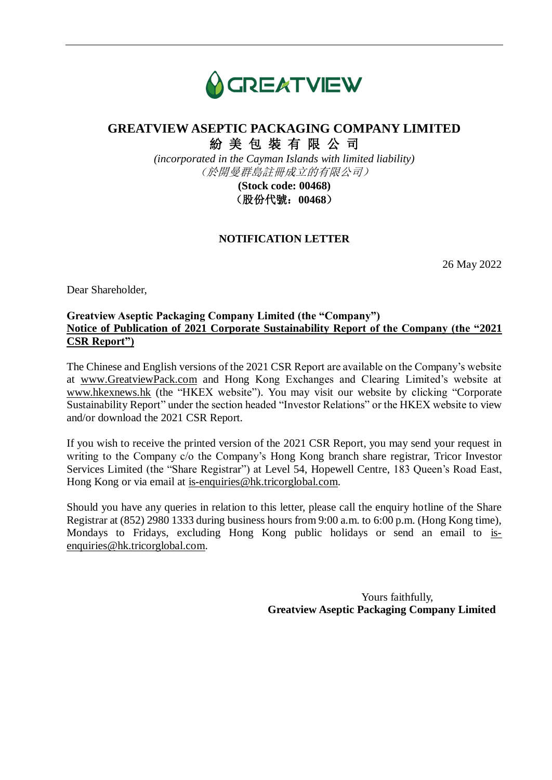

# **GREATVIEW ASEPTIC PACKAGING COMPANY LIMITED** 紛 美 包 裝 有 限 公 司

*(incorporated in the Cayman Islands with limited liability)* (於開曼群島註冊成立的有限公司)

> **(Stock code: 00468)** (股份代號:**00468**)

### **NOTIFICATION LETTER**

26 May 2022

Dear Shareholder,

### **Greatview Aseptic Packaging Company Limited (the "Company") Notice of Publication of 2021 Corporate Sustainability Report of the Company (the "2021 CSR Report")**

The Chinese and English versions of the 2021 CSR Report are available on the Company's website at [www.GreatviewPack.com](https://apc01.safelinks.protection.outlook.com/?url=http%3A%2F%2Fwww.greatviewpack.com%2F&data=04%7C01%7CCSR%40hetermedia.com%7Cc70962382c07494aa91b08da066f8c25%7C5477ef15645944208fd3be8494535081%7C0%7C0%7C637829373669022883%7CUnknown%7CTWFpbGZsb3d8eyJWIjoiMC4wLjAwMDAiLCJQIjoiV2luMzIiLCJBTiI6Ik1haWwiLCJXVCI6Mn0%3D%7C3000&sdata=yOAIQIz0tqtNq%2FFADPbFBx2uiBuklqYU3NeKKkoKQSI%3D&reserved=0) and Hong Kong Exchanges and Clearing Limited's website at [www.hkexnews.hk](http://www.hkexnews.hk/) (the "HKEX website"). You may visit our website by clicking "Corporate Sustainability Report" under the section headed "Investor Relations" or the HKEX website to view and/or download the 2021 CSR Report.

If you wish to receive the printed version of the 2021 CSR Report, you may send your request in writing to the Company c/o the Company's Hong Kong branch share registrar, Tricor Investor Services Limited (the "Share Registrar") at Level 54, Hopewell Centre, 183 Queen's Road East, Hong Kong or via email at is-enquiries@hk.tricorglobal.com.

Should you have any queries in relation to this letter, please call the enquiry hotline of the Share Registrar at (852) 2980 1333 during business hours from 9:00 a.m. to 6:00 p.m. (Hong Kong time), Mondays to Fridays, excluding Hong Kong public holidays or send an email to isenquiries@hk.tricorglobal.com.

> Yours faithfully, **Greatview Aseptic Packaging Company Limited**